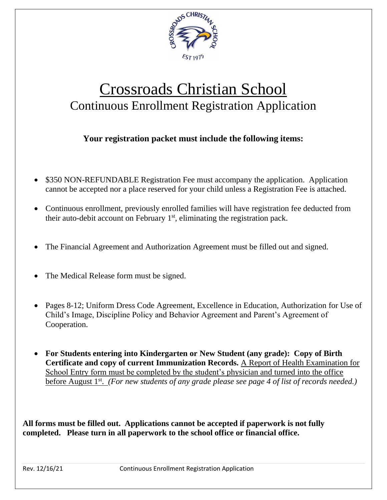

# Crossroads Christian School Continuous Enrollment Registration Application

**Your registration packet must include the following items:**

- \$350 NON-REFUNDABLE Registration Fee must accompany the application. Application cannot be accepted nor a place reserved for your child unless a Registration Fee is attached.
- Continuous enrollment, previously enrolled families will have registration fee deducted from their auto-debit account on February  $1<sup>st</sup>$ , eliminating the registration pack.
- The Financial Agreement and Authorization Agreement must be filled out and signed.
- The Medical Release form must be signed.
- Pages 8-12; Uniform Dress Code Agreement, Excellence in Education, Authorization for Use of Child's Image, Discipline Policy and Behavior Agreement and Parent's Agreement of Cooperation.
- **For Students entering into Kindergarten or New Student (any grade): Copy of Birth Certificate and copy of current Immunization Records.** A Report of Health Examination for School Entry form must be completed by the student's physician and turned into the office before August 1<sup>st</sup>. (For new students of any grade please see page 4 of list of records needed.)

**All forms must be filled out. Applications cannot be accepted if paperwork is not fully completed. Please turn in all paperwork to the school office or financial office.**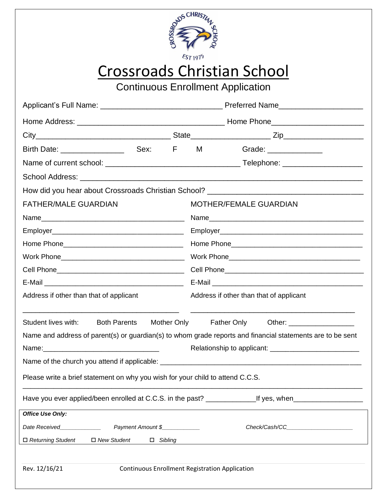

Crossroads Christian School

Continuous Enrollment Application

|                                                                                    |                   |                | $M \sim 1$ | Grade: _______________                                                                                     |  |
|------------------------------------------------------------------------------------|-------------------|----------------|------------|------------------------------------------------------------------------------------------------------------|--|
|                                                                                    |                   |                |            |                                                                                                            |  |
|                                                                                    |                   |                |            |                                                                                                            |  |
|                                                                                    |                   |                |            |                                                                                                            |  |
| <b>FATHER/MALE GUARDIAN</b>                                                        |                   |                |            | <b>MOTHER/FEMALE GUARDIAN</b>                                                                              |  |
|                                                                                    |                   |                |            |                                                                                                            |  |
|                                                                                    |                   |                |            |                                                                                                            |  |
|                                                                                    |                   |                |            |                                                                                                            |  |
|                                                                                    |                   |                |            |                                                                                                            |  |
|                                                                                    |                   |                |            |                                                                                                            |  |
|                                                                                    |                   |                |            |                                                                                                            |  |
| Address if other than that of applicant<br>Address if other than that of applicant |                   |                |            |                                                                                                            |  |
|                                                                                    |                   |                |            | Student lives with: Both Parents Mother Only Father Only Other: ________________                           |  |
|                                                                                    |                   |                |            | Name and address of parent(s) or guardian(s) to whom grade reports and financial statements are to be sent |  |
|                                                                                    |                   |                |            |                                                                                                            |  |
|                                                                                    |                   |                |            |                                                                                                            |  |
| Please write a brief statement on why you wish for your child to attend C.C.S.     |                   |                |            |                                                                                                            |  |
|                                                                                    |                   |                |            |                                                                                                            |  |
| <b>Office Use Only:</b>                                                            |                   |                |            |                                                                                                            |  |
| Date Received <b>Date</b> Received                                                 | Payment Amount \$ |                |            |                                                                                                            |  |
| $\Box$ New Student<br>$\Box$ Returning Student                                     |                   | $\Box$ Sibling |            |                                                                                                            |  |
| Rev. 12/16/21                                                                      |                   |                |            | <b>Continuous Enrollment Registration Application</b>                                                      |  |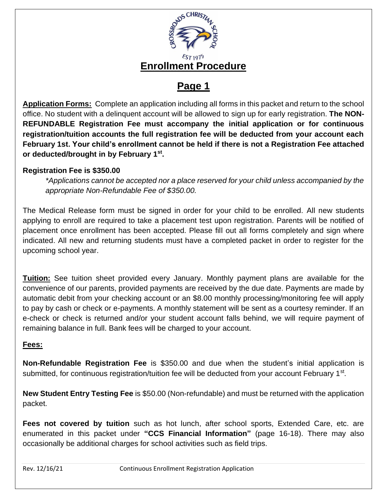

### **Page 1**

**Application Forms:** Complete an application including all forms in this packet and return to the school office. No student with a delinquent account will be allowed to sign up for early registration. **The NON-REFUNDABLE Registration Fee must accompany the initial application or for continuous registration/tuition accounts the full registration fee will be deducted from your account each February 1st. Your child's enrollment cannot be held if there is not a Registration Fee attached or deducted/brought in by February 1st .**

#### **Registration Fee is \$350.00**

*\*Applications cannot be accepted nor a place reserved for your child unless accompanied by the appropriate Non-Refundable Fee of \$350.00.*

The Medical Release form must be signed in order for your child to be enrolled. All new students applying to enroll are required to take a placement test upon registration. Parents will be notified of placement once enrollment has been accepted. Please fill out all forms completely and sign where indicated. All new and returning students must have a completed packet in order to register for the upcoming school year.

**Tuition:** See tuition sheet provided every January. Monthly payment plans are available for the convenience of our parents, provided payments are received by the due date. Payments are made by automatic debit from your checking account or an \$8.00 monthly processing/monitoring fee will apply to pay by cash or check or e-payments. A monthly statement will be sent as a courtesy reminder. If an e-check or check is returned and/or your student account falls behind, we will require payment of remaining balance in full. Bank fees will be charged to your account.

#### **Fees:**

**Non-Refundable Registration Fee** is \$350.00 and due when the student's initial application is submitted, for continuous registration/tuition fee will be deducted from your account February 1<sup>st</sup>.

**New Student Entry Testing Fee** is \$50.00 (Non-refundable) and must be returned with the application packet.

Fees not covered by tuition such as hot lunch, after school sports, Extended Care, etc. are enumerated in this packet under **"CCS Financial Information"** (page 16-18). There may also occasionally be additional charges for school activities such as field trips.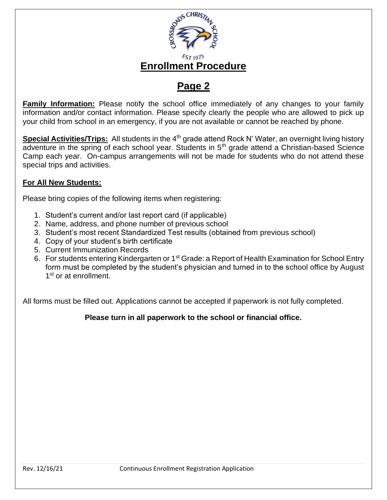

### **Page 2**

**Family Information:** Please notify the school office immediately of any changes to your family information and/or contact information. Please specify clearly the people who are allowed to pick up your child from school in an emergency, if you are not available or cannot be reached by phone.

**Special Activities/Trips:** All students in the 4<sup>th</sup> grade attend Rock N' Water, an overnight living history adventure in the spring of each school year. Students in 5<sup>th</sup> grade attend a Christian-based Science Camp each year. On-campus arrangements will not be made for students who do not attend these special trips and activities.

#### **For All New Students:**

Please bring copies of the following items when registering:

- 1. Student's current and/or last report card (if applicable)
- 2. Name, address, and phone number of previous school
- 3. Student's most recent Standardized Test results (obtained from previous school)
- 4. Copy of your student's birth certificate
- 5. Current Immunization Records
- 6. For students entering Kindergarten or 1<sup>st</sup> Grade: a Report of Health Examination for School Entry form must be completed by the student's physician and turned in to the school office by August 1<sup>st</sup> or at enrollment.

All forms must be filled out. Applications cannot be accepted if paperwork is not fully completed.

#### **Please turn in all paperwork to the school or financial office.**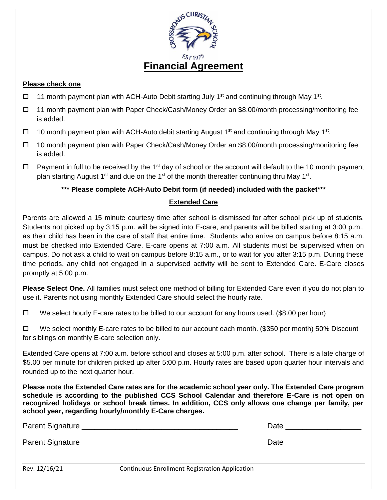

#### **Please check one**

- $\Box$  11 month payment plan with ACH-Auto Debit starting July 1<sup>st</sup> and continuing through May 1<sup>st</sup>.
- 11 month payment plan with Paper Check/Cash/Money Order an \$8.00/month processing/monitoring fee is added.
- $\Box$  10 month payment plan with ACH-Auto debit starting August 1<sup>st</sup> and continuing through May 1<sup>st</sup>.
- 10 month payment plan with Paper Check/Cash/Money Order an \$8.00/month processing/monitoring fee is added.
- $\Box$  Payment in full to be received by the 1<sup>st</sup> day of school or the account will default to the 10 month payment plan starting August 1<sup>st</sup> and due on the 1<sup>st</sup> of the month thereafter continuing thru May 1<sup>st</sup>.

**\*\*\* Please complete ACH-Auto Debit form (if needed) included with the packet\*\*\***

#### **Extended Care**

Parents are allowed a 15 minute courtesy time after school is dismissed for after school pick up of students. Students not picked up by 3:15 p.m. will be signed into E-care, and parents will be billed starting at 3:00 p.m., as their child has been in the care of staff that entire time. Students who arrive on campus before 8:15 a.m. must be checked into Extended Care. E-care opens at 7:00 a.m. All students must be supervised when on campus. Do not ask a child to wait on campus before 8:15 a.m., or to wait for you after 3:15 p.m. During these time periods, any child not engaged in a supervised activity will be sent to Extended Care. E-Care closes promptly at 5:00 p.m.

**Please Select One.** All families must select one method of billing for Extended Care even if you do not plan to use it. Parents not using monthly Extended Care should select the hourly rate.

 $\Box$  We select hourly E-care rates to be billed to our account for any hours used. (\$8.00 per hour)

 $\Box$  We select monthly E-care rates to be billed to our account each month. (\$350 per month) 50% Discount for siblings on monthly E-care selection only.

Extended Care opens at 7:00 a.m. before school and closes at 5:00 p.m. after school. There is a late charge of \$5.00 per minute for children picked up after 5:00 p.m. Hourly rates are based upon quarter hour intervals and rounded up to the next quarter hour.

**Please note the Extended Care rates are for the academic school year only. The Extended Care program schedule is according to the published CCS School Calendar and therefore E-Care is not open on recognized holidays or school break times. In addition, CCS only allows one change per family, per school year, regarding hourly/monthly E-Care charges.**

| Rev. 12/16/21 | <b>Continuous Enrollment Registration Application</b> |  |
|---------------|-------------------------------------------------------|--|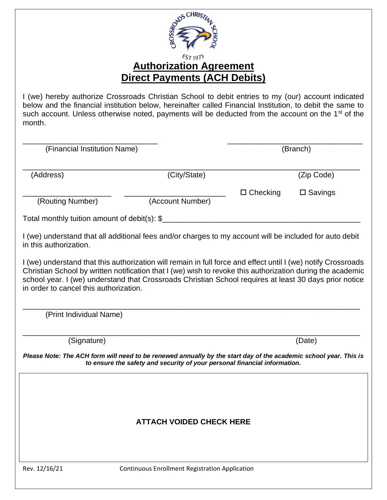

#### $EST1975$ **Authorization Agreement Direct Payments (ACH Debits)**

I (we) hereby authorize Crossroads Christian School to debit entries to my (our) account indicated below and the financial institution below, hereinafter called Financial Institution, to debit the same to such account. Unless otherwise noted, payments will be deducted from the account on the 1<sup>st</sup> of the month.

| (Financial Institution Name)                   |                                                                                                                                                                                                                                                                                                                                       |                 | (Branch)          |
|------------------------------------------------|---------------------------------------------------------------------------------------------------------------------------------------------------------------------------------------------------------------------------------------------------------------------------------------------------------------------------------------|-----------------|-------------------|
| (Address)                                      | (City/State)                                                                                                                                                                                                                                                                                                                          |                 | (Zip Code)        |
|                                                |                                                                                                                                                                                                                                                                                                                                       | $\Box$ Checking | $\square$ Savings |
| (Routing Number)                               | (Account Number)                                                                                                                                                                                                                                                                                                                      |                 |                   |
| Total monthly tuition amount of debit(s): $\S$ |                                                                                                                                                                                                                                                                                                                                       |                 |                   |
| in this authorization.                         | I (we) understand that all additional fees and/or charges to my account will be included for auto debit                                                                                                                                                                                                                               |                 |                   |
| in order to cancel this authorization.         | I (we) understand that this authorization will remain in full force and effect until I (we) notify Crossroads<br>Christian School by written notification that I (we) wish to revoke this authorization during the academic<br>school year. I (we) understand that Crossroads Christian School requires at least 30 days prior notice |                 |                   |
| (Print Individual Name)                        |                                                                                                                                                                                                                                                                                                                                       |                 |                   |
| (Signature)                                    |                                                                                                                                                                                                                                                                                                                                       |                 | (Date)            |
|                                                | Please Note: The ACH form will need to be renewed annually by the start day of the academic school year. This is<br>to ensure the safety and security of your personal financial information.                                                                                                                                         |                 |                   |
|                                                | <b>ATTACH VOIDED CHECK HERE</b>                                                                                                                                                                                                                                                                                                       |                 |                   |
| Rev. 12/16/21                                  | <b>Continuous Enrollment Registration Application</b>                                                                                                                                                                                                                                                                                 |                 |                   |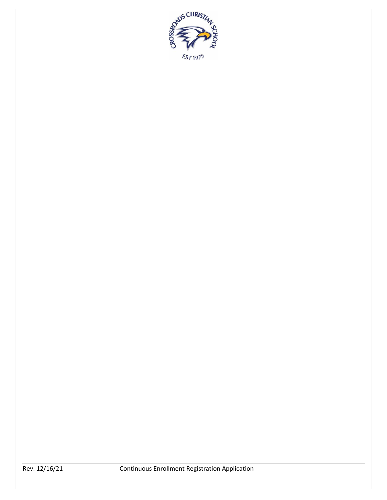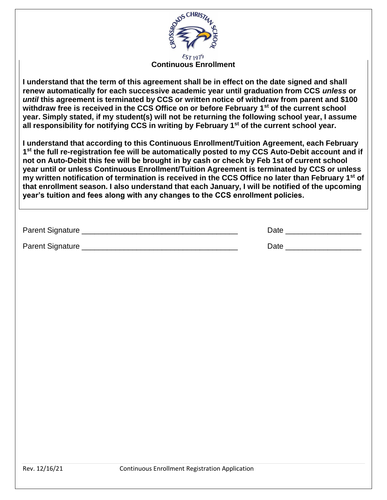

**Continuous Enrollment**

**I understand that the term of this agreement shall be in effect on the date signed and shall renew automatically for each successive academic year until graduation from CCS** *unless* **or**  *until* **this agreement is terminated by CCS or written notice of withdraw from parent and \$100 withdraw free is received in the CCS Office on or before February 1st of the current school year. Simply stated, if my student(s) will not be returning the following school year, I assume all responsibility for notifying CCS in writing by February 1st of the current school year.** 

**I understand that according to this Continuous Enrollment/Tuition Agreement, each February 1 st the full re-registration fee will be automatically posted to my CCS Auto-Debit account and if not on Auto-Debit this fee will be brought in by cash or check by Feb 1st of current school year until or unless Continuous Enrollment/Tuition Agreement is terminated by CCS or unless my written notification of termination is received in the CCS Office no later than February 1st of that enrollment season. I also understand that each January, I will be notified of the upcoming year's tuition and fees along with any changes to the CCS enrollment policies.**

| Date ____________________ |
|---------------------------|
|                           |
|                           |
|                           |
|                           |
|                           |
|                           |
|                           |
|                           |
|                           |
|                           |
|                           |
|                           |
|                           |
|                           |
|                           |
|                           |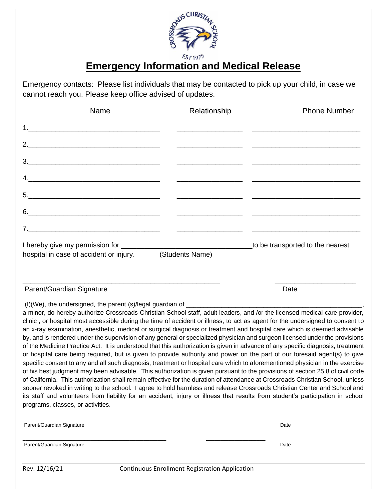

### **Emergency Information and Medical Release**

Emergency contacts: Please list individuals that may be contacted to pick up your child, in case we cannot reach you. Please keep office advised of updates.

| to be transported to the nearest<br>(Students Name)<br>hospital in case of accident or injury.<br>Parent/Guardian Signature<br>Date<br>(I)(We), the undersigned, the parent (s)/legal guardian of ______________________<br>a minor, do hereby authorize Crossroads Christian School staff, adult leaders, and /or the licensed medical care provider,<br>clinic, or hospital most accessible during the time of accident or illness, to act as agent for the undersigned to consent to<br>an x-ray examination, anesthetic, medical or surgical diagnosis or treatment and hospital care which is deemed advisable<br>by, and is rendered under the supervision of any general or specialized physician and surgeon licensed under the provisions<br>of the Medicine Practice Act. It is understood that this authorization is given in advance of any specific diagnosis, treatment<br>or hospital care being required, but is given to provide authority and power on the part of our foresaid agent(s) to give<br>specific consent to any and all such diagnosis, treatment or hospital care which to aforementioned physician in the exercise<br>of his best judgment may been advisable. This authorization is given pursuant to the provisions of section 25.8 of civil code<br>of California. This authorization shall remain effective for the duration of attendance at Crossroads Christian School, unless<br>sooner revoked in writing to the school. I agree to hold harmless and release Crossroads Christian Center and School and<br>its staff and volunteers from liability for an accident, injury or illness that results from student's participation in school<br>programs, classes, or activities.<br>Parent/Guardian Signature<br>Date<br>Parent/Guardian Signature<br>Date | Name | Relationship | <b>Phone Number</b> |
|----------------------------------------------------------------------------------------------------------------------------------------------------------------------------------------------------------------------------------------------------------------------------------------------------------------------------------------------------------------------------------------------------------------------------------------------------------------------------------------------------------------------------------------------------------------------------------------------------------------------------------------------------------------------------------------------------------------------------------------------------------------------------------------------------------------------------------------------------------------------------------------------------------------------------------------------------------------------------------------------------------------------------------------------------------------------------------------------------------------------------------------------------------------------------------------------------------------------------------------------------------------------------------------------------------------------------------------------------------------------------------------------------------------------------------------------------------------------------------------------------------------------------------------------------------------------------------------------------------------------------------------------------------------------------------------------------------------------------------------------------------------------------------------------------|------|--------------|---------------------|
|                                                                                                                                                                                                                                                                                                                                                                                                                                                                                                                                                                                                                                                                                                                                                                                                                                                                                                                                                                                                                                                                                                                                                                                                                                                                                                                                                                                                                                                                                                                                                                                                                                                                                                                                                                                                    |      |              |                     |
|                                                                                                                                                                                                                                                                                                                                                                                                                                                                                                                                                                                                                                                                                                                                                                                                                                                                                                                                                                                                                                                                                                                                                                                                                                                                                                                                                                                                                                                                                                                                                                                                                                                                                                                                                                                                    |      |              |                     |
|                                                                                                                                                                                                                                                                                                                                                                                                                                                                                                                                                                                                                                                                                                                                                                                                                                                                                                                                                                                                                                                                                                                                                                                                                                                                                                                                                                                                                                                                                                                                                                                                                                                                                                                                                                                                    |      |              |                     |
|                                                                                                                                                                                                                                                                                                                                                                                                                                                                                                                                                                                                                                                                                                                                                                                                                                                                                                                                                                                                                                                                                                                                                                                                                                                                                                                                                                                                                                                                                                                                                                                                                                                                                                                                                                                                    |      |              |                     |
|                                                                                                                                                                                                                                                                                                                                                                                                                                                                                                                                                                                                                                                                                                                                                                                                                                                                                                                                                                                                                                                                                                                                                                                                                                                                                                                                                                                                                                                                                                                                                                                                                                                                                                                                                                                                    |      |              |                     |
|                                                                                                                                                                                                                                                                                                                                                                                                                                                                                                                                                                                                                                                                                                                                                                                                                                                                                                                                                                                                                                                                                                                                                                                                                                                                                                                                                                                                                                                                                                                                                                                                                                                                                                                                                                                                    |      |              |                     |
|                                                                                                                                                                                                                                                                                                                                                                                                                                                                                                                                                                                                                                                                                                                                                                                                                                                                                                                                                                                                                                                                                                                                                                                                                                                                                                                                                                                                                                                                                                                                                                                                                                                                                                                                                                                                    |      |              |                     |
|                                                                                                                                                                                                                                                                                                                                                                                                                                                                                                                                                                                                                                                                                                                                                                                                                                                                                                                                                                                                                                                                                                                                                                                                                                                                                                                                                                                                                                                                                                                                                                                                                                                                                                                                                                                                    |      |              |                     |
|                                                                                                                                                                                                                                                                                                                                                                                                                                                                                                                                                                                                                                                                                                                                                                                                                                                                                                                                                                                                                                                                                                                                                                                                                                                                                                                                                                                                                                                                                                                                                                                                                                                                                                                                                                                                    |      |              |                     |
|                                                                                                                                                                                                                                                                                                                                                                                                                                                                                                                                                                                                                                                                                                                                                                                                                                                                                                                                                                                                                                                                                                                                                                                                                                                                                                                                                                                                                                                                                                                                                                                                                                                                                                                                                                                                    |      |              |                     |
|                                                                                                                                                                                                                                                                                                                                                                                                                                                                                                                                                                                                                                                                                                                                                                                                                                                                                                                                                                                                                                                                                                                                                                                                                                                                                                                                                                                                                                                                                                                                                                                                                                                                                                                                                                                                    |      |              |                     |
|                                                                                                                                                                                                                                                                                                                                                                                                                                                                                                                                                                                                                                                                                                                                                                                                                                                                                                                                                                                                                                                                                                                                                                                                                                                                                                                                                                                                                                                                                                                                                                                                                                                                                                                                                                                                    |      |              |                     |

Rev. 12/16/21 Continuous Enrollment Registration Application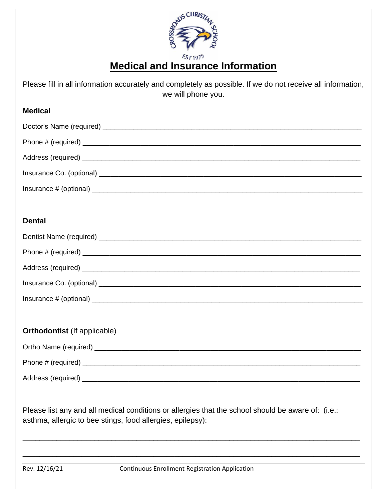

#### $EST1979$ **Medical and Insurance Information**

Please fill in all information accurately and completely as possible. If we do not receive all information, we will phone you.

#### **Medical**

| Insurance Co. (optional) expression and the contract of the contract of the contract of the contract of the contract of the contract of the contract of the contract of the contract of the contract of the contract of the co |
|--------------------------------------------------------------------------------------------------------------------------------------------------------------------------------------------------------------------------------|
|                                                                                                                                                                                                                                |

#### **Dental**

#### **Orthodontist** (If applicable)

| Ortho Name (required) |  |
|-----------------------|--|
| Phone # (required)    |  |
| Address (required)    |  |

Please list any and all medical conditions or allergies that the school should be aware of: (i.e.: asthma, allergic to bee stings, food allergies, epilepsy):

Rev. 12/16/21 Continuous Enrollment Registration Application

\_\_\_\_\_\_\_\_\_\_\_\_\_\_\_\_\_\_\_\_\_\_\_\_\_\_\_\_\_\_\_\_\_\_\_\_\_\_\_\_\_\_\_\_\_\_\_\_\_\_\_\_\_\_\_\_\_\_\_\_\_\_\_\_\_\_\_\_\_\_\_\_\_\_\_\_\_\_\_\_

\_\_\_\_\_\_\_\_\_\_\_\_\_\_\_\_\_\_\_\_\_\_\_\_\_\_\_\_\_\_\_\_\_\_\_\_\_\_\_\_\_\_\_\_\_\_\_\_\_\_\_\_\_\_\_\_\_\_\_\_\_\_\_\_\_\_\_\_\_\_\_\_\_\_\_\_\_\_\_\_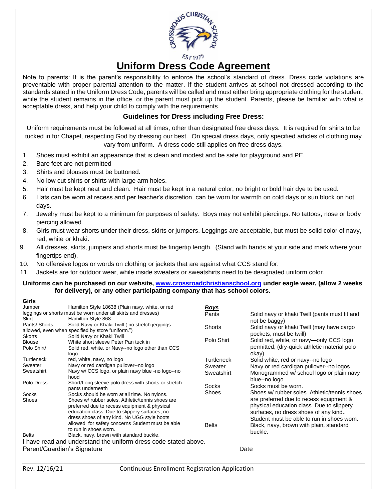

#### $EST1975$ **Uniform Dress Code Agreement**

Note to parents: It is the parent's responsibility to enforce the school's standard of dress. Dress code violations are preventable with proper parental attention to the matter. If the student arrives at school not dressed according to the standards stated in the Uniform Dress Code, parents will be called and must either bring appropriate clothing for the student, while the student remains in the office, or the parent must pick up the student. Parents, please be familiar with what is acceptable dress, and help your child to comply with the requirements.

#### **Guidelines for Dress including Free Dress:**

Uniform requirements must be followed at all times, other than designated free dress days. It is required for shirts to be tucked in for Chapel, respecting God by dressing our best. On special dress days, only specified articles of clothing may vary from uniform. A dress code still applies on free dress days.

- 1. Shoes must exhibit an appearance that is clean and modest and be safe for playground and PE.
- 2. Bare feet are not permitted
- 3. Shirts and blouses must be buttoned.
- 4. No low cut shirts or shirts with large arm holes.
- 5. Hair must be kept neat and clean. Hair must be kept in a natural color; no bright or bold hair dye to be used.
- 6. Hats can be worn at recess and per teacher's discretion, can be worn for warmth on cold days or sun block on hot days.
- 7. Jewelry must be kept to a minimum for purposes of safety. Boys may not exhibit piercings. No tattoos, nose or body piercing allowed.
- 8. Girls must wear shorts under their dress, skirts or jumpers. Leggings are acceptable, but must be solid color of navy, red, white or khaki.
- 9. All dresses, skirts, jumpers and shorts must be fingertip length. (Stand with hands at your side and mark where your fingertips end).
- 10. No offensive logos or words on clothing or jackets that are against what CCS stand for.
- 11. Jackets are for outdoor wear, while inside sweaters or sweatshirts need to be designated uniform color.

#### **Uniforms can be purchased on our website, [www.crossroadchristianschool.org](http://www.crossroadchristianschool.org/) under eagle wear, (allow 2 weeks for delivery), or any other participating company that has school colors.**

| uris                        |                                                                 |                   |                                               |
|-----------------------------|-----------------------------------------------------------------|-------------------|-----------------------------------------------|
| Jumper                      | Hamilton Style 18638 (Plain navy, white, or red                 | <u>Boys</u>       |                                               |
|                             | leggings or shorts must be worn under all skirts and dresses)   | Pants             | Solid navy or khaki Twill (pants must fit and |
| Skirt                       | Hamilton Style 868                                              |                   | not be baggy)                                 |
| Pants/ Shorts               | Solid Navy or Khaki Twill (no stretch jeggings                  | <b>Shorts</b>     | Solid navy or khaki Twill (may have cargo     |
|                             | allowed, even when specified by store "uniform.")               |                   | pockets, must be twill)                       |
| Skorts                      | Solid Navy or Khaki Twill                                       |                   |                                               |
| <b>Blouse</b>               | White short sleeve Peter Pan tuck in                            | Polo Shirt        | Solid red, white, or navy-only CCS logo       |
| Polo Shirt/                 | Solid red, white, or Navy--no logo other than CCS               |                   | permitted, (dry-quick athletic material polo  |
|                             | logo.                                                           |                   | okay)                                         |
| <b>Turtleneck</b>           | red, white, navy, no logo                                       | <b>Turtleneck</b> | Solid white, red or navy--no logo             |
| Sweater                     | Navy or red cardigan pullover--no logo                          | Sweater           | Navy or red cardigan pullover--no logos       |
| Sweatshirt                  | Navy w/ CCS logo, or plain navy blue -no logo--no               | Sweatshirt        | Monogrammed w/ school logo or plain navy      |
|                             | hood                                                            |                   | blue--no logo                                 |
| Polo Dress                  | Short/Long sleeve polo dress with shorts or stretch             | <b>Socks</b>      | Socks must be worn.                           |
|                             | pants underneath                                                | Shoes             | Shoes w/ rubber soles. Athletic/tennis shoes  |
| Socks                       | Socks should be worn at all time. No nylons.                    |                   |                                               |
| Shoes                       | Shoes w/ rubber soles. Athletic/tennis shoes are                |                   | are preferred due to recess equipment &       |
|                             | preferred due to recess equipment & physical                    |                   | physical education class. Due to slippery     |
|                             | education class. Due to slippery surfaces, no                   |                   | surfaces, no dress shoes of any kind          |
|                             | dress shoes of any kind. No UGG style boots                     |                   | Student must be able to run in shoes worn.    |
|                             | allowed for safety concerns Student must be able                | <b>Belts</b>      | Black, navy, brown with plain, standard       |
|                             | to run in shoes worn.                                           |                   | buckle.                                       |
| <b>Belts</b>                | Black, navy, brown with standard buckle.                        |                   |                                               |
|                             | I have read and understand the uniform dress code stated above. |                   |                                               |
| Parent/Guardian's Signature |                                                                 | Date              |                                               |
|                             |                                                                 |                   |                                               |

**Girls**

Rev. 12/16/21 Continuous Enrollment Registration Application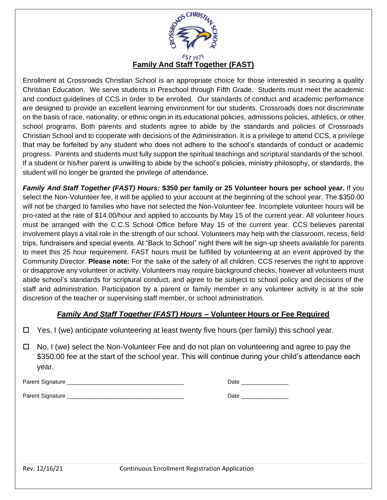

Enrollment at Crossroads Christian School is an appropriate choice for those interested in securing a quality Christian Education. We serve students in Preschool through Fifth Grade. Students must meet the academic and conduct guidelines of CCS in order to be enrolled. Our standards of conduct and academic performance are designed to provide an excellent learning environment for our students. Crossroads does not discriminate on the basis of race, nationality, or ethnic origin in its educational policies, admissions policies, athletics, or other school programs. Both parents and students agree to abide by the standards and policies of Crossroads Christian School and to cooperate with decisions of the Administration. It is a privilege to attend CCS, a privilege that may be forfeited by any student who does not adhere to the school's standards of conduct or academic progress. Parents and students must fully support the spiritual teachings and scriptural standards of the school. If a student or his/her parent is unwilling to abide by the school's policies, ministry philosophy, or standards, the student will no longer be granted the privilege of attendance.

*Family And Staff Together (FAST) Hours:* **\$350 per family or 25 Volunteer hours per school year.** If you select the Non-Volunteer fee, it will be applied to your account at the beginning of the school year. The \$350.00 will not be charged to families who have not selected the Non-Volunteer fee. Incomplete volunteer hours will be pro-rated at the rate of \$14.00/hour and applied to accounts by May 15 of the current year. All volunteer hours must be arranged with the C.C.S School Office before May 15 of the current year. CCS believes parental involvement plays a vital role in the strength of our school. Volunteers may help with the classroom, recess, field trips, fundraisers and special events. At "Back to School" night there will be sign-up sheets available for parents to meet this 25 hour requirement. FAST hours must be fulfilled by volunteering at an event approved by the Community Director. **Please note:** For the sake of the safety of all children, CCS reserves the right to approve or disapprove any volunteer or activity. Volunteers may require background checks, however all volunteers must abide school's standards for scriptural conduct, and agree to be subject to school policy and decisions of the staff and administration. Participation by a parent or family member in any volunteer activity is at the sole discretion of the teacher or supervising staff member, or school administration.

#### *Family And Staff Together (FAST) Hours* **– Volunteer Hours or Fee Required**

- $\Box$  Yes, I (we) anticipate volunteering at least twenty five hours (per family) this school year.
- $\Box$  No, I (we) select the Non-Volunteer Fee and do not plan on volunteering and agree to pay the \$350.00 fee at the start of the school year. This will continue during your child's attendance each year.

| Parent Signature | <b>Date</b> |
|------------------|-------------|
| Parent Signature | Date        |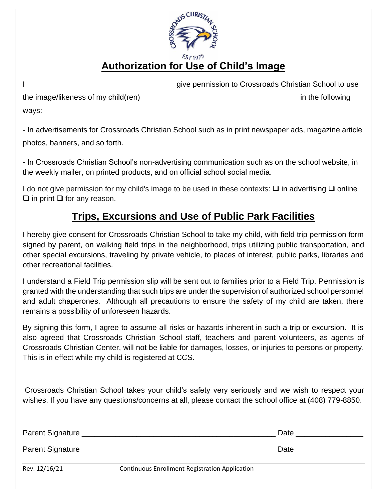

## **Authorization for Use of Child's Image**

|                                     | give permission to Crossroads Christian School to use |
|-------------------------------------|-------------------------------------------------------|
| the image/likeness of my child(ren) | in the following                                      |
| ways:                               |                                                       |

- In advertisements for Crossroads Christian School such as in print newspaper ads, magazine article photos, banners, and so forth.

- In Crossroads Christian School's non-advertising communication such as on the school website, in the weekly mailer, on printed products, and on official school social media.

I do not give permission for my child's image to be used in these contexts: ❑ in advertising ❑ online ❑ in print ❑ for any reason.

### **Trips, Excursions and Use of Public Park Facilities**

I hereby give consent for Crossroads Christian School to take my child, with field trip permission form signed by parent, on walking field trips in the neighborhood, trips utilizing public transportation, and other special excursions, traveling by private vehicle, to places of interest, public parks, libraries and other recreational facilities.

I understand a Field Trip permission slip will be sent out to families prior to a Field Trip. Permission is granted with the understanding that such trips are under the supervision of authorized school personnel and adult chaperones. Although all precautions to ensure the safety of my child are taken, there remains a possibility of unforeseen hazards.

By signing this form, I agree to assume all risks or hazards inherent in such a trip or excursion. It is also agreed that Crossroads Christian School staff, teachers and parent volunteers, as agents of Crossroads Christian Center, will not be liable for damages, losses, or injuries to persons or property. This is in effect while my child is registered at CCS.

Crossroads Christian School takes your child's safety very seriously and we wish to respect your wishes. If you have any questions/concerns at all, please contact the school office at (408) 779-8850.

| Parent Signature |                                                       | Date |
|------------------|-------------------------------------------------------|------|
|                  |                                                       | Date |
| Rev. 12/16/21    | <b>Continuous Enrollment Registration Application</b> |      |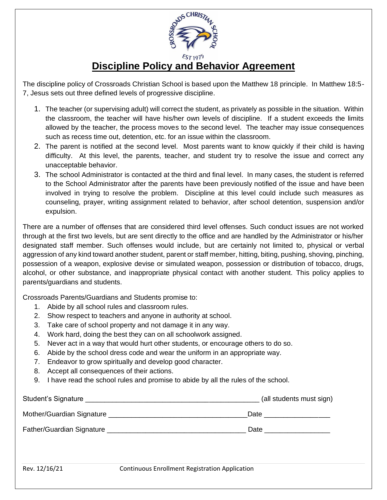

#### $EST1979$ **Discipline Policy and Behavior Agreement**

The discipline policy of Crossroads Christian School is based upon the Matthew 18 principle. In Matthew 18:5- 7, Jesus sets out three defined levels of progressive discipline.

- 1. The teacher (or supervising adult) will correct the student, as privately as possible in the situation. Within the classroom, the teacher will have his/her own levels of discipline. If a student exceeds the limits allowed by the teacher, the process moves to the second level. The teacher may issue consequences such as recess time out, detention, etc. for an issue within the classroom.
- 2. The parent is notified at the second level. Most parents want to know quickly if their child is having difficulty. At this level, the parents, teacher, and student try to resolve the issue and correct any unacceptable behavior.
- 3. The school Administrator is contacted at the third and final level. In many cases, the student is referred to the School Administrator after the parents have been previously notified of the issue and have been involved in trying to resolve the problem. Discipline at this level could include such measures as counseling, prayer, writing assignment related to behavior, after school detention, suspension and/or expulsion.

There are a number of offenses that are considered third level offenses. Such conduct issues are not worked through at the first two levels, but are sent directly to the office and are handled by the Administrator or his/her designated staff member. Such offenses would include, but are certainly not limited to, physical or verbal aggression of any kind toward another student, parent or staff member, hitting, biting, pushing, shoving, pinching, possession of a weapon, explosive devise or simulated weapon, possession or distribution of tobacco, drugs, alcohol, or other substance, and inappropriate physical contact with another student. This policy applies to parents/guardians and students.

Crossroads Parents/Guardians and Students promise to:

- 1. Abide by all school rules and classroom rules.
- 2. Show respect to teachers and anyone in authority at school.
- 3. Take care of school property and not damage it in any way.
- 4. Work hard, doing the best they can on all schoolwork assigned.
- 5. Never act in a way that would hurt other students, or encourage others to do so.
- 6. Abide by the school dress code and wear the uniform in an appropriate way.
- 7. Endeavor to grow spiritually and develop good character.
- 8. Accept all consequences of their actions.
- 9. I have read the school rules and promise to abide by all the rules of the school.

|               | (all students must sign)                              |
|---------------|-------------------------------------------------------|
|               | Date __________________                               |
|               | Date ______________________                           |
| Rev. 12/16/21 | <b>Continuous Enrollment Registration Application</b> |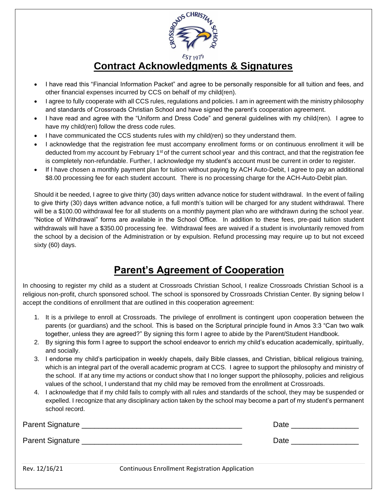

#### $EST1975$ **Contract Acknowledgments & Signatures**

- I have read this "Financial Information Packet" and agree to be personally responsible for all tuition and fees, and other financial expenses incurred by CCS on behalf of my child(ren).
- I agree to fully cooperate with all CCS rules, regulations and policies. I am in agreement with the ministry philosophy and standards of Crossroads Christian School and have signed the parent's cooperation agreement.
- I have read and agree with the "Uniform and Dress Code" and general guidelines with my child(ren). I agree to have my child(ren) follow the dress code rules.
- I have communicated the CCS students rules with my child(ren) so they understand them.
- I acknowledge that the registration fee must accompany enrollment forms or on continuous enrollment it will be deducted from my account by February 1<sup>st</sup> of the current school year and this contract, and that the registration fee is completely non-refundable. Further, I acknowledge my student's account must be current in order to register.
- If I have chosen a monthly payment plan for tuition without paying by ACH Auto-Debit, I agree to pay an additional \$8.00 processing fee for each student account. There is no processing charge for the ACH-Auto-Debit plan.

Should it be needed, I agree to give thirty (30) days written advance notice for student withdrawal. In the event of failing to give thirty (30) days written advance notice, a full month's tuition will be charged for any student withdrawal. There will be a \$100.00 withdrawal fee for all students on a monthly payment plan who are withdrawn during the school year. "Notice of Withdrawal" forms are available in the School Office. In addition to these fees, pre-paid tuition student withdrawals will have a \$350.00 processing fee. Withdrawal fees are waived if a student is involuntarily removed from the school by a decision of the Administration or by expulsion. Refund processing may require up to but not exceed sixty (60) days.

### **Parent's Agreement of Cooperation**

In choosing to register my child as a student at Crossroads Christian School, I realize Crossroads Christian School is a religious non-profit, church sponsored school. The school is sponsored by Crossroads Christian Center. By signing below I accept the conditions of enrollment that are outlined in this cooperation agreement:

- 1. It is a privilege to enroll at Crossroads. The privilege of enrollment is contingent upon cooperation between the parents (or guardians) and the school. This is based on the Scriptural principle found in Amos 3:3 "Can two walk together, unless they are agreed?" By signing this form I agree to abide by the Parent/Student Handbook.
- 2. By signing this form I agree to support the school endeavor to enrich my child's education academically, spiritually, and socially.
- 3. I endorse my child's participation in weekly chapels, daily Bible classes, and Christian, biblical religious training, which is an integral part of the overall academic program at CCS. I agree to support the philosophy and ministry of the school. If at any time my actions or conduct show that I no longer support the philosophy, policies and religious values of the school, I understand that my child may be removed from the enrollment at Crossroads.
- 4. I acknowledge that if my child fails to comply with all rules and standards of the school, they may be suspended or expelled. I recognize that any disciplinary action taken by the school may become a part of my student's permanent school record.

|               |                                                       | Date ____________________ |
|---------------|-------------------------------------------------------|---------------------------|
|               |                                                       |                           |
| Rev. 12/16/21 | <b>Continuous Enrollment Registration Application</b> |                           |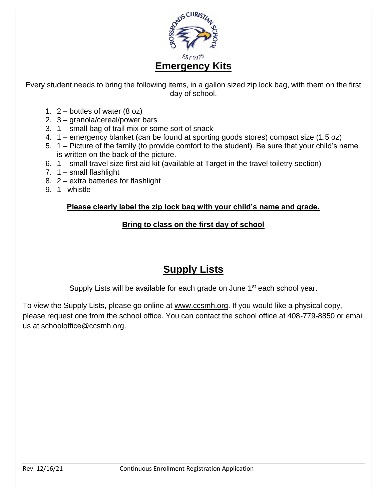

Every student needs to bring the following items, in a gallon sized zip lock bag, with them on the first day of school.

- 1.  $2 -$  bottles of water (8 oz)
- 2. 3 granola/cereal/power bars
- 3. 1 small bag of trail mix or some sort of snack
- 4. 1 emergency blanket (can be found at sporting goods stores) compact size (1.5 oz)
- 5. 1 Picture of the family (to provide comfort to the student). Be sure that your child's name is written on the back of the picture.
- 6. 1 small travel size first aid kit (available at Target in the travel toiletry section)
- 7. 1 small flashlight
- 8. 2 extra batteries for flashlight
- 9. 1– whistle

#### **Please clearly label the zip lock bag with your child's name and grade.**

#### **Bring to class on the first day of school**

### **Supply Lists**

Supply Lists will be available for each grade on June  $1<sup>st</sup>$  each school year.

To view the Supply Lists, please go online at [www.ccsmh.org.](http://www.crossroadschristianschool.org/) If you would like a physical copy, please request one from the school office. You can contact the school office at 408-779-8850 or email us at schooloffice@ccsmh.org.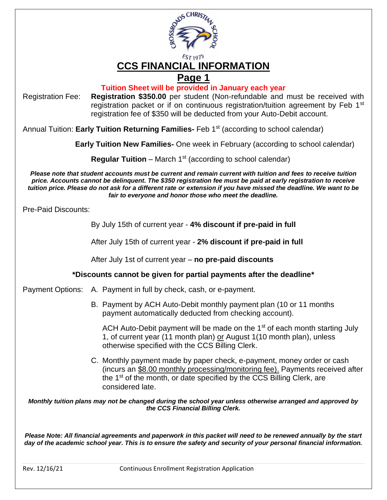

#### $EST1979$ **CCS FINANCIAL INFORMATION**

### **Page 1**

#### **Tuition Sheet will be provided in January each year**

Registration Fee: **Registration \$350.00** per student (Non-refundable and must be received with registration packet or if on continuous registration/tuition agreement by Feb 1<sup>st</sup> registration fee of \$350 will be deducted from your Auto-Debit account.

Annual Tuition: Early Tuition Returning Families- Feb 1<sup>st</sup> (according to school calendar)

 **Early Tuition New Families-** One week in February (according to school calendar)

**Regular Tuition** – March 1<sup>st</sup> (according to school calendar)

*Please note that student accounts must be current and remain current with tuition and fees to receive tuition price. Accounts cannot be delinquent. The \$350 registration fee must be paid at early registration to receive tuition price. Please do not ask for a different rate or extension if you have missed the deadline. We want to be fair to everyone and honor those who meet the deadline.*

Pre-Paid Discounts:

By July 15th of current year - **4% discount if pre-paid in full**

After July 15th of current year - **2% discount if pre-paid in full**

After July 1st of current year – **no pre-paid discounts**

**\*Discounts cannot be given for partial payments after the deadline\***

Payment Options: A. Payment in full by check, cash, or e-payment.

B. Payment by ACH Auto-Debit monthly payment plan (10 or 11 months payment automatically deducted from checking account).

ACH Auto-Debit payment will be made on the 1<sup>st</sup> of each month starting July 1, of current year (11 month plan) or August 1(10 month plan), unless otherwise specified with the CCS Billing Clerk.

C. Monthly payment made by paper check, e-payment, money order or cash (incurs an \$8.00 monthly processing/monitoring fee). Payments received after the 1<sup>st</sup> of the month, or date specified by the CCS Billing Clerk, are considered late.

*Monthly tuition plans may not be changed during the school year unless otherwise arranged and approved by the CCS Financial Billing Clerk.*

*Please Note: All financial agreements and paperwork in this packet will need to be renewed annually by the start day of the academic school year. This is to ensure the safety and security of your personal financial information.*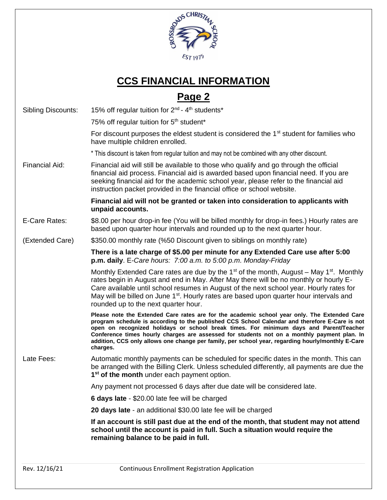

# **CCS FINANCIAL INFORMATION**

### **Page 2**

|                           | <u>rage z</u>                                                                                                                                                                                                                                                                                                                                                                                                                                                                                            |
|---------------------------|----------------------------------------------------------------------------------------------------------------------------------------------------------------------------------------------------------------------------------------------------------------------------------------------------------------------------------------------------------------------------------------------------------------------------------------------------------------------------------------------------------|
| <b>Sibling Discounts:</b> | 15% off regular tuition for 2 <sup>nd</sup> - 4 <sup>th</sup> students*                                                                                                                                                                                                                                                                                                                                                                                                                                  |
|                           | 75% off regular tuition for 5 <sup>th</sup> student*                                                                                                                                                                                                                                                                                                                                                                                                                                                     |
|                           | For discount purposes the eldest student is considered the 1 <sup>st</sup> student for families who<br>have multiple children enrolled.                                                                                                                                                                                                                                                                                                                                                                  |
|                           | * This discount is taken from regular tuition and may not be combined with any other discount.                                                                                                                                                                                                                                                                                                                                                                                                           |
| Financial Aid:            | Financial aid will still be available to those who qualify and go through the official<br>financial aid process. Financial aid is awarded based upon financial need. If you are<br>seeking financial aid for the academic school year, please refer to the financial aid<br>instruction packet provided in the financial office or school website.                                                                                                                                                       |
|                           | Financial aid will not be granted or taken into consideration to applicants with<br>unpaid accounts.                                                                                                                                                                                                                                                                                                                                                                                                     |
| E-Care Rates:             | \$8.00 per hour drop-in fee (You will be billed monthly for drop-in fees.) Hourly rates are<br>based upon quarter hour intervals and rounded up to the next quarter hour.                                                                                                                                                                                                                                                                                                                                |
| (Extended Care)           | \$350.00 monthly rate (%50 Discount given to siblings on monthly rate)                                                                                                                                                                                                                                                                                                                                                                                                                                   |
|                           | There is a late charge of \$5.00 per minute for any Extended Care use after 5:00<br>p.m. daily. E-Care hours: $7:00$ a.m. to $5:00$ p.m. Monday-Friday                                                                                                                                                                                                                                                                                                                                                   |
|                           | Monthly Extended Care rates are due by the 1 <sup>st</sup> of the month, August – May 1 <sup>st</sup> . Monthly<br>rates begin in August and end in May. After May there will be no monthly or hourly E-<br>Care available until school resumes in August of the next school year. Hourly rates for<br>May will be billed on June 1 <sup>st</sup> . Hourly rates are based upon quarter hour intervals and<br>rounded up to the next quarter hour.                                                       |
|                           | Please note the Extended Care rates are for the academic school year only. The Extended Care<br>program schedule is according to the published CCS School Calendar and therefore E-Care is not<br>open on recognized holidays or school break times. For minimum days and Parent/Teacher<br>Conference times hourly charges are assessed for students not on a monthly payment plan. In<br>addition, CCS only allows one change per family, per school year, regarding hourly/monthly E-Care<br>charges. |
| Late Fees:                | Automatic monthly payments can be scheduled for specific dates in the month. This can<br>be arranged with the Billing Clerk. Unless scheduled differently, all payments are due the<br>1 <sup>st</sup> of the month under each payment option.                                                                                                                                                                                                                                                           |
|                           | Any payment not processed 6 days after due date will be considered late.                                                                                                                                                                                                                                                                                                                                                                                                                                 |
|                           | 6 days late - \$20.00 late fee will be charged                                                                                                                                                                                                                                                                                                                                                                                                                                                           |
|                           | 20 days late - an additional \$30.00 late fee will be charged                                                                                                                                                                                                                                                                                                                                                                                                                                            |
|                           | If an account is still past due at the end of the month, that student may not attend<br>school until the account is paid in full. Such a situation would require the<br>remaining balance to be paid in full.                                                                                                                                                                                                                                                                                            |
|                           |                                                                                                                                                                                                                                                                                                                                                                                                                                                                                                          |